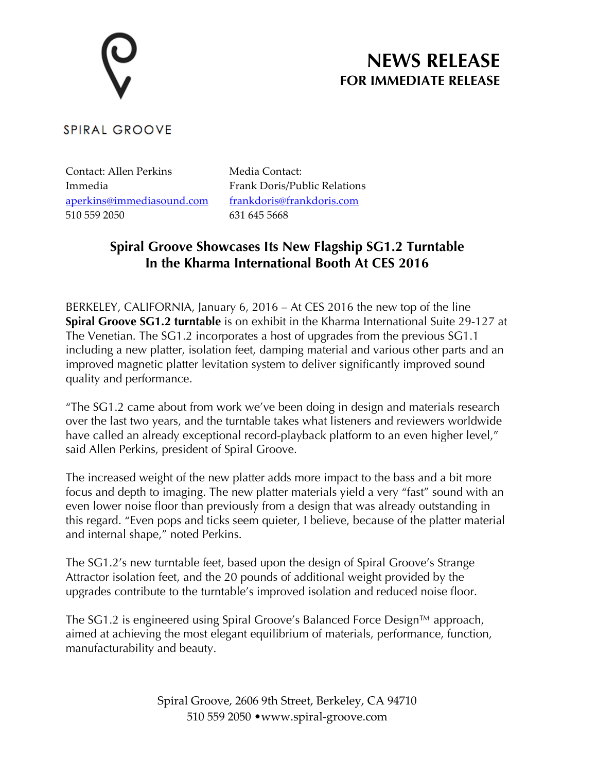# **NEWS RELEASE FOR IMMEDIATE RELEASE**

### **SPIRAL GROOVE**

Contact: Allen Perkins Immedia aperkins@immediasound.com 510 559 2050

Media Contact: Frank Doris/Public Relations frankdoris@frankdoris.com 631 645 5668

## **Spiral Groove Showcases Its New Flagship SG1.2 Turntable In the Kharma International Booth At CES 2016**

BERKELEY, CALIFORNIA, January 6, 2016 – At CES 2016 the new top of the line **Spiral Groove SG1.2 turntable** is on exhibit in the Kharma International Suite 29-127 at The Venetian. The SG1.2 incorporates a host of upgrades from the previous SG1.1 including a new platter, isolation feet, damping material and various other parts and an improved magnetic platter levitation system to deliver significantly improved sound quality and performance.

"The SG1.2 came about from work we've been doing in design and materials research over the last two years, and the turntable takes what listeners and reviewers worldwide have called an already exceptional record-playback platform to an even higher level," said Allen Perkins, president of Spiral Groove.

The increased weight of the new platter adds more impact to the bass and a bit more focus and depth to imaging. The new platter materials yield a very "fast" sound with an even lower noise floor than previously from a design that was already outstanding in this regard. "Even pops and ticks seem quieter, I believe, because of the platter material and internal shape," noted Perkins.

The SG1.2's new turntable feet, based upon the design of Spiral Groove's Strange Attractor isolation feet, and the 20 pounds of additional weight provided by the upgrades contribute to the turntable's improved isolation and reduced noise floor.

The SG1.2 is engineered using Spiral Groove's Balanced Force Design™ approach, aimed at achieving the most elegant equilibrium of materials, performance, function, manufacturability and beauty.

> Spiral Groove, 2606 9th Street, Berkeley, CA 94710 510 559 2050 •www.spiral-groove.com